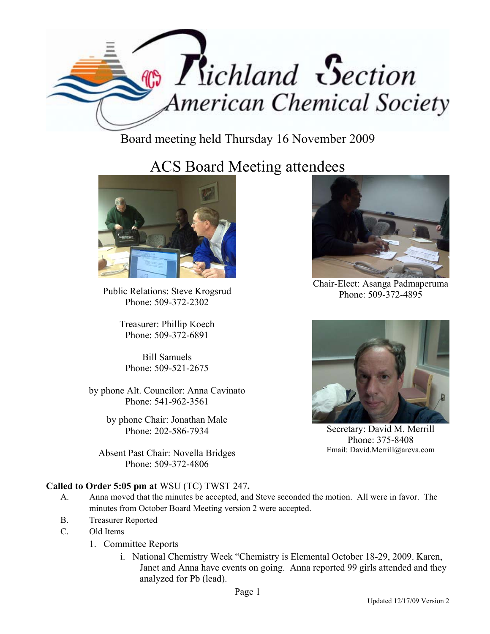

Board meeting held Thursday 16 November 2009

## ACS Board Meeting attendees



Public Relations: Steve Krogsrud Phone: 509-372-2302

Treasurer: Phillip Koech Phone: 509-372-6891

Bill Samuels Phone: 509-521-2675

by phone Alt. Councilor: Anna Cavinato Phone: 541-962-3561

> by phone Chair: Jonathan Male Phone: 202-586-7934

Absent Past Chair: Novella Bridges Phone: 509-372-4806

Chair-Elect: Asanga Padmaperuma Phone: 509-372-4895



Secretary: David M. Merrill Phone: 375-8408 Email: David.Merrill@areva.com

## **Called to Order 5:05 pm at** WSU (TC) TWST 247**.**

- A. Anna moved that the minutes be accepted, and Steve seconded the motion. All were in favor. The minutes from October Board Meeting version 2 were accepted.
- B. Treasurer Reported
- C. Old Items
	- 1. Committee Reports
		- i. National Chemistry Week "Chemistry is Elemental October 18-29, 2009. Karen, Janet and Anna have events on going. Anna reported 99 girls attended and they analyzed for Pb (lead).